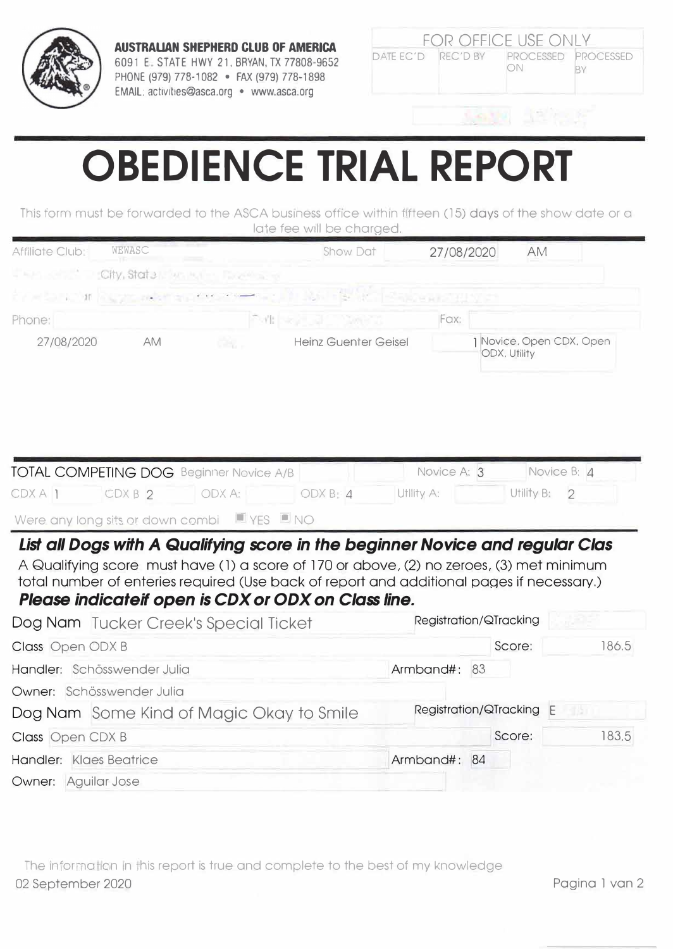

**AUSTRALIAN SHEPHERD CLUB OF AMERICA** 6091 E. STATE HWY 21, BRYAN, TX 77808-9652 PHONE (979) 778-1082 · FAX (979) 778-1898 EMAIL: activities@asca.org · www.asca.org

| <b>FOR OFFICE USE ONLY</b> |  |                                        |  |  |  |  |
|----------------------------|--|----------------------------------------|--|--|--|--|
|                            |  | DATE EC'D REC'D BY PROCESSED PROCESSED |  |  |  |  |
|                            |  |                                        |  |  |  |  |

## **OBEDIENCE TRIAL REPORT**

This form must be forwarded to the ASCA business office within fifteen (15) days of the show date or a late fee will be charged.

| Affiliate Club;         | WEWASC                                                                                                                                                                                                                                                                                                                        |           | Show Dat                    | 27/08/2020   |                          | <b>AM</b>                 |                          |
|-------------------------|-------------------------------------------------------------------------------------------------------------------------------------------------------------------------------------------------------------------------------------------------------------------------------------------------------------------------------|-----------|-----------------------------|--------------|--------------------------|---------------------------|--------------------------|
|                         | City, State<br>WE PUL-                                                                                                                                                                                                                                                                                                        |           |                             |              |                          |                           |                          |
| $-100$                  |                                                                                                                                                                                                                                                                                                                               |           |                             |              |                          |                           |                          |
| Phone:                  |                                                                                                                                                                                                                                                                                                                               | Politica, |                             | Fax:         |                          |                           |                          |
| 27/08/2020              | AM                                                                                                                                                                                                                                                                                                                            | ang.      | <b>Heinz Guenter Geisel</b> |              | ODX, Utility             |                           | 1 Novice, Open CDX, Open |
|                         | TOTAL COMPETING DOG Beginner Novice A/B                                                                                                                                                                                                                                                                                       |           |                             | Novice A: 3  |                          | Novice B: 4<br>Utility B: | $\overline{2}$           |
| CDXA 1                  | CDXB <sub>2</sub>                                                                                                                                                                                                                                                                                                             | ODX A:    | ODX B: 4                    | Utlity A:    |                          |                           |                          |
|                         | Were any long sits or down combi $\Box$ YES $\Box$ NO                                                                                                                                                                                                                                                                         |           |                             |              |                          |                           |                          |
|                         | List all Dogs with A Qualifying score in the beginner Novice and regular Clas<br>A Qualifying score must have (1) a score of 170 or above, (2) no zeroes, (3) met minimum<br>total number of enteries required (Use back of report and additional pages if necessary.)<br>Please indicateif open is CDX or ODX on Class line. |           |                             |              |                          |                           |                          |
|                         | Dog Nam Tucker Creek's Special Ticket                                                                                                                                                                                                                                                                                         |           |                             |              | Registration/QTracking   |                           |                          |
| Class Open ODX B        |                                                                                                                                                                                                                                                                                                                               |           |                             |              | Score:                   |                           | 186.5                    |
|                         | Handler: Schösswender Julia                                                                                                                                                                                                                                                                                                   |           |                             | Armband#:    | 83                       |                           |                          |
|                         | Owner: Schösswender Julia                                                                                                                                                                                                                                                                                                     |           |                             |              |                          |                           |                          |
|                         | Dog Nam Some Kind of Magic Okay to Smile                                                                                                                                                                                                                                                                                      |           |                             |              | Registration/QTracking E |                           | 事項                       |
| Class Open CDX B        |                                                                                                                                                                                                                                                                                                                               |           |                             |              | Score:                   |                           | 183.5                    |
| Handler: Klaes Beatrice |                                                                                                                                                                                                                                                                                                                               |           |                             | Armband#: 84 |                          |                           |                          |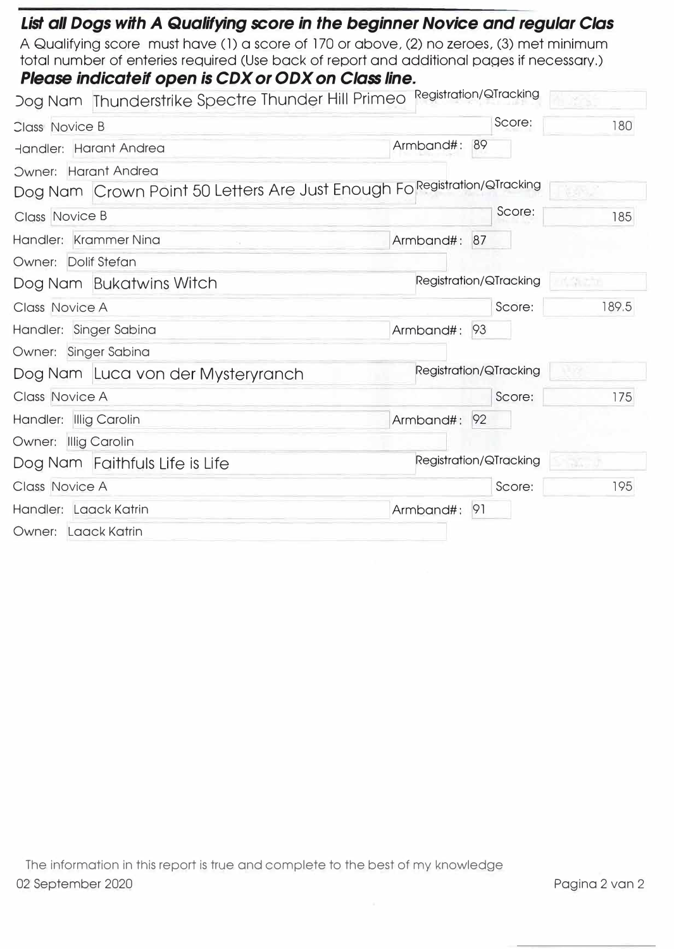| List all Dogs with A Qualifying score in the beginner Novice and regular Clas             |                        |                        |       |
|-------------------------------------------------------------------------------------------|------------------------|------------------------|-------|
| A Qualifying score must have (1) a score of 170 or above, (2) no zeroes, (3) met minimum  |                        |                        |       |
| total number of enteries required (Use back of report and additional pages if necessary.) |                        |                        |       |
| Please indicateif open is CDX or ODX on Class line.                                       |                        |                        |       |
| Dog Nam Thunderstrike Spectre Thunder Hill Primeo                                         | Registration/QTracking |                        |       |
| Class Novice B                                                                            |                        | Score:                 | 180   |
| Handler: Harant Andrea                                                                    | Armband#:              | 89                     |       |
| Owner: Harant Andrea                                                                      |                        |                        |       |
| Dog Nam Crown Point 50 Letters Are Just Enough Fo Registration/QTracking                  |                        |                        |       |
| Class Novice B                                                                            |                        | Score:                 | 185   |
| Handler: Krammer Nina                                                                     | Armband#: 87           |                        |       |
| Owner: Dolif Stefan                                                                       |                        |                        |       |
| Dog Nam Bukatwins Witch                                                                   |                        | Registration/QTracking | 여자 자기 |
| <b>Class Novice A</b>                                                                     |                        | Score:                 | 189.5 |
| Handler: Singer Sabina                                                                    | Armband#:              | 93                     |       |
| Owner: Singer Sabina                                                                      |                        |                        |       |
| Dog Nam Luca von der Mysteryranch                                                         |                        | Registration/QTracking |       |
| Class Novice A                                                                            |                        | Score:                 | 175   |
| Handler: Illig Carolin                                                                    | Armband#:              | 92                     |       |
| Owner: Illig Carolin                                                                      |                        |                        |       |
| Dog Nam Faithfuls Life is Life                                                            |                        | Registration/QTracking | 34. J |
| <b>Class Novice A</b>                                                                     |                        | Score:                 | 195   |
| Handler: Laack Katrin                                                                     | Armband#:<br>-91       |                        |       |
| Owner: Laack Katrin                                                                       |                        |                        |       |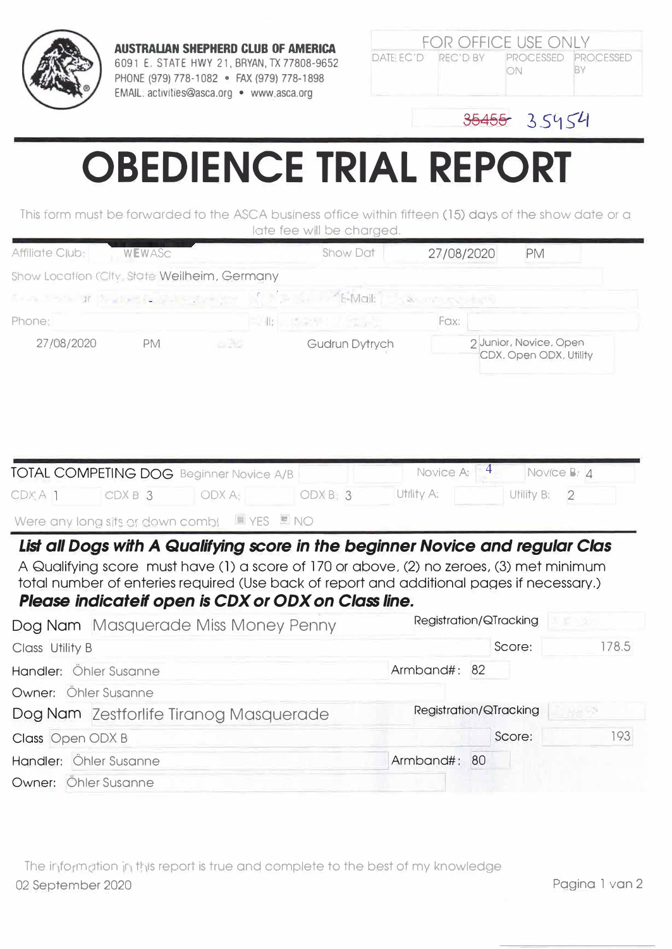

**AUSTRALIAN SHEPHERD CLUB OF AMERICA** 6091 E. STATE HWY 21, BRYAN, TX 77808-9652 PHONE (979) 778-1082 • FAX {979) 778-1898 EMAIL: activities@asca.org • www.asca.org

|  | <b>FOR OFFICE USE ONLY</b>                   |  |
|--|----------------------------------------------|--|
|  | DATE EC'D REC'D BY PROCESSED PROCESSED<br>ON |  |

## $35455 - 35454$

## **OBEDIENCE TRIAL REPORT**

This form must be forwarded to the ASCA business office within fifteen (15) days of the show date or a late fee will be charged.

|                                                              |        |                | Show Dat                                                                                                                                                                                                                                                                                                                      | 27/08/2020              | PM                                               |                               |
|--------------------------------------------------------------|--------|----------------|-------------------------------------------------------------------------------------------------------------------------------------------------------------------------------------------------------------------------------------------------------------------------------------------------------------------------------|-------------------------|--------------------------------------------------|-------------------------------|
| Show Location (City, State Weilheim, Germany                 |        |                |                                                                                                                                                                                                                                                                                                                               |                         |                                                  |                               |
| for the first of the complete state of the                   |        |                | E-Mail:                                                                                                                                                                                                                                                                                                                       | 小数 三甲 スペリオピリ            |                                                  |                               |
| Phone;                                                       |        |                | 三川川 のなり                                                                                                                                                                                                                                                                                                                       | Fax:                    |                                                  |                               |
| 27/08/2020                                                   | PM     | oR3            | Gudrun Dytrych                                                                                                                                                                                                                                                                                                                |                         | 2 Junior, Novice, Open<br>CDX, Open ODX, Utility |                               |
| TOTAL COMPETING DOG Beginner Novice A/B<br>CDXA <sub>1</sub> | CDXB 3 | ODX A:         | ODXB: 3                                                                                                                                                                                                                                                                                                                       | Novice A:<br>Utility A: | 4<br>Utility B:                                  | Novice B: 4<br>$\overline{2}$ |
| Were any long sits or down combi                             |        | YES <b>ENO</b> |                                                                                                                                                                                                                                                                                                                               |                         |                                                  |                               |
|                                                              |        |                |                                                                                                                                                                                                                                                                                                                               |                         |                                                  |                               |
|                                                              |        |                | List all Dogs with A Qualifying score in the beginner Novice and regular Clas<br>A Qualifying score must have (1) a score of 170 or above, (2) no zeroes, (3) met minimum<br>total number of enteries required (Use back of report and additional pages if necessary.)<br>Please indicateif open is CDX or ODX on Class line. |                         |                                                  |                               |
| Dog Nam Masquerade Miss Money Penny                          |        |                |                                                                                                                                                                                                                                                                                                                               |                         | Registration/QTracking                           |                               |
| Class Utility B                                              |        |                |                                                                                                                                                                                                                                                                                                                               |                         | Score:                                           | 178.5                         |
| Handler: Öhler Susanne                                       |        |                |                                                                                                                                                                                                                                                                                                                               | Armband#: 82            |                                                  |                               |
| Owner: Öhler Susanne                                         |        |                |                                                                                                                                                                                                                                                                                                                               |                         |                                                  |                               |
| Dog Nam Zestforlife Tiranog Masquerade                       |        |                |                                                                                                                                                                                                                                                                                                                               |                         | Registration/QTracking                           | 1611 F.P                      |
| Class Open ODX B                                             |        |                |                                                                                                                                                                                                                                                                                                                               |                         | Score:                                           | 193                           |
| Handler: Öhler Susanne                                       |        |                |                                                                                                                                                                                                                                                                                                                               | Armband#: 80            |                                                  |                               |